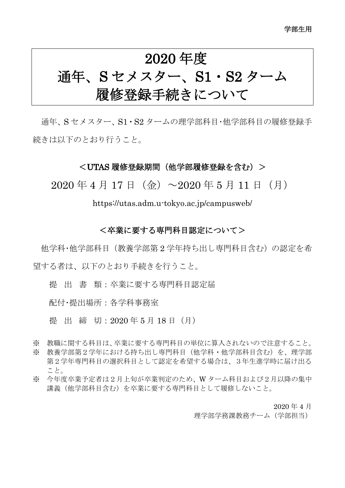# 2020 年度 通年、S セメスター、S1・S2 ターム 履修登録手続きについて

通年、S セメスター、S1・S2 タームの理学部科目・他学部科目の履修登録手 続きは以下のとおり行うこと。

#### <UTAS 履修登録期間(他学部履修登録を含む)>

 $2020 \n\pm 4 \n\pm 17 \n\pm (\n\Leftrightarrow) \sim 2020 \n\pm 5 \n\pm 11 \n\pm (\n\pm)$ 

https://utas.adm.u-tokyo.ac.jp/campusweb/

#### <卒業に要する専門科目認定について>

他学科・他学部科目(教養学部第 2 学年持ち出し専門科目含む)の認定を希 望する者は、以下のとおり手続きを行うこと。

提 出 書 類:卒業に要する専門科目認定届

配付・提出場所:各学科事務室

提 出 締 切: 2020年5月18日 (月)

- ※ 教職に関する科目は、卒業に要する専門科目の単位に算入されないので注意すること。 ※ 教養学部第2学年における持ち出し専門科目(他学科·他学部科目含む)を、理学部 第2学年専門科目の選択科目として認定を希望する場合は、3年生進学時に届け出る こと。
- ※ 今年度卒業予定者は2月上旬が卒業判定のため、W ターム科目および2月以降の集中 講義(他学部科目含む)を卒業に要する専門科目として履修しないこと。

2020 年 4 月

理学部学務課教務チーム(学部担当)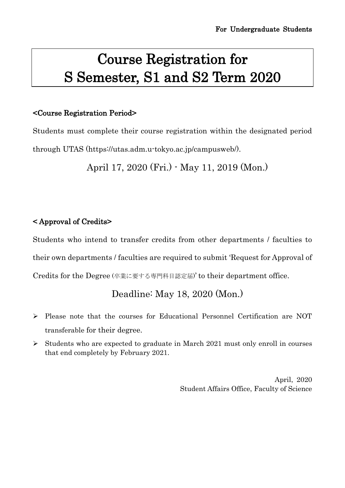# Course Registration for S Semester, S1 and S2 Term 2020

#### <Course Registration Period>

Students must complete their course registration within the designated period through UTAS (https://utas.adm.u-tokyo.ac.jp/campusweb/).

April 17, 2020 (Fri.) - May 11, 2019 (Mon.)

### < Approval of Credits>

Students who intend to transfer credits from other departments / faculties to their own departments / faculties are required to submit 'Request for Approval of Credits for the Degree (卒業に要する専門科目認定届)' to their department office.

## Deadline: May 18, 2020 (Mon.)

- Please note that the courses for Educational Personnel Certification are NOT transferable for their degree.
- $\triangleright$  Students who are expected to graduate in March 2021 must only enroll in courses that end completely by February 2021.

April, 2020 Student Affairs Office, Faculty of Science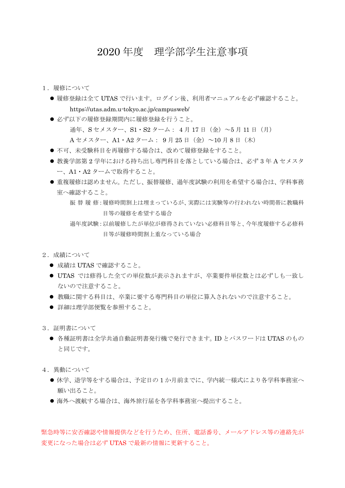### 2020 年度 理学部学生注意事項

- 1.履修について
	- ●履修登録は全て UTAS で行います。ログイン後、利用者マニュアルを必ず確認すること。 https://utas.adm.u-tokyo.ac.jp/campusweb/
	- 必ず以下の履修登録期間内に履修登録を行うこと。 通年、Sセメスター、S1・S2 ターム: 4月 17日 (金) ~5月 11日 (月)  $A$ セメスター、A1・A2 ターム: 9月 25日(金)~10月8日(木)
	- 不可、未受験科目を再履修する場合は、改めて履修登録をすること。
	- 教養学部第2学年における持ち出し専門科目を落としている場合は、必ず3年A セメスタ ー、A1・A2 タームで取得すること。
	- 重複履修は認めません。ただし、振替履修、過年度試験の利用を希望する場合は、学科事務 室へ確認すること。

- 2. 成績について
	- 成績は UTAS で確認すること。
	- UTAS では修得した全ての単位数が表示されますが、卒業要件単位数とは必ずしも一致し ないので注意すること。
	- 教職に関する科目は、卒業に要する専門科目の単位に算入されないので注意すること。
	- 詳細は理学部便覧を参照すること。
- 3. 証明書について
	- 各種証明書は全学共通自動証明書発行機で発行できます。ID とパスワードは UTAS のもの と同じです。
- 4.異動について
	- 休学、退学等をする場合は、予定日の1か月前までに、学内統一様式により各学科事務室へ 願い出ること。
	- 海外へ渡航する場合は、海外旅行届を各学科事務室へ提出すること。

緊急時等に安否確認や情報提供などを行うため、住所、電話番号、メールアドレス等の連絡先が 変更になった場合は必ず UTAS で最新の情報に更新すること。

振替履 修:履修時間割上は埋まっているが、実際には実験等の行われない時間帯に教職科 目等の履修を希望する場合

過年度試験:以前履修したが単位が修得されていない必修科目等と、今年度履修する必修科 目等が履修時間割上重なっている場合